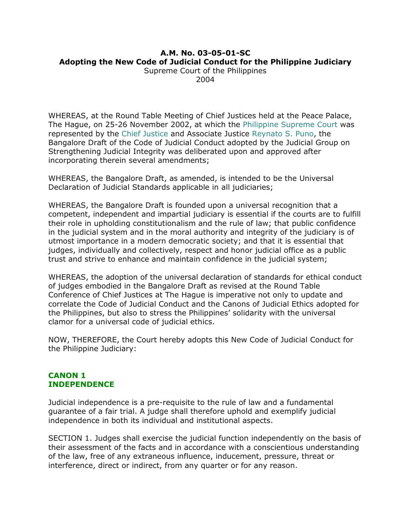# **A.M. No. 03-05-01-SC Adopting the New Code of Judicial Conduct for the Philippine Judiciary**

Supreme Court of the Philippines 2004

WHEREAS, at the Round Table Meeting of Chief Justices held at the Peace Palace, The Hague, on 25-26 November 2002, at which the [Philippine Supreme Court](http://en.wikipilipinas.org/index.php?title=Supreme_Court_of_the_Philippines) was represented by the [Chief Justice](http://en.wikipilipinas.org/index.php?title=Chief_Justice_of_the_Philippines) and Associate Justice [Reynato S. Puno,](http://en.wikipilipinas.org/index.php?title=Reynato_S._Puno) the Bangalore Draft of the Code of Judicial Conduct adopted by the Judicial Group on Strengthening Judicial Integrity was deliberated upon and approved after incorporating therein several amendments;

WHEREAS, the Bangalore Draft, as amended, is intended to be the Universal Declaration of Judicial Standards applicable in all judiciaries;

WHEREAS, the Bangalore Draft is founded upon a universal recognition that a competent, independent and impartial judiciary is essential if the courts are to fulfill their role in upholding constitutionalism and the rule of law; that public confidence in the judicial system and in the moral authority and integrity of the judiciary is of utmost importance in a modern democratic society; and that it is essential that judges, individually and collectively, respect and honor judicial office as a public trust and strive to enhance and maintain confidence in the judicial system;

WHEREAS, the adoption of the universal declaration of standards for ethical conduct of judges embodied in the Bangalore Draft as revised at the Round Table Conference of Chief Justices at The Hague is imperative not only to update and correlate the Code of Judicial Conduct and the Canons of Judicial Ethics adopted for the Philippines, but also to stress the Philippines' solidarity with the universal clamor for a universal code of judicial ethics.

NOW, THEREFORE, the Court hereby adopts this New Code of Judicial Conduct for the Philippine Judiciary:

## **CANON 1 INDEPENDENCE**

Judicial independence is a pre-requisite to the rule of law and a fundamental guarantee of a fair trial. A judge shall therefore uphold and exemplify judicial independence in both its individual and institutional aspects.

SECTION 1. Judges shall exercise the judicial function independently on the basis of their assessment of the facts and in accordance with a conscientious understanding of the law, free of any extraneous influence, inducement, pressure, threat or interference, direct or indirect, from any quarter or for any reason.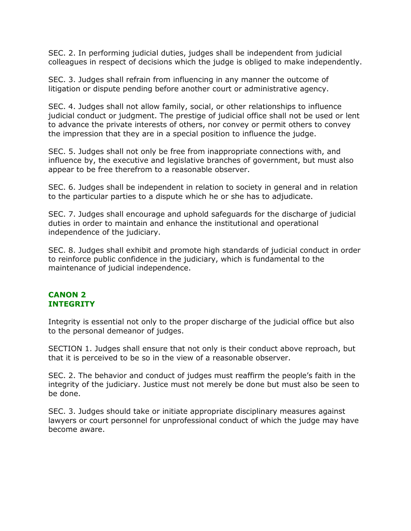SEC. 2. In performing judicial duties, judges shall be independent from judicial colleagues in respect of decisions which the judge is obliged to make independently.

SEC. 3. Judges shall refrain from influencing in any manner the outcome of litigation or dispute pending before another court or administrative agency.

SEC. 4. Judges shall not allow family, social, or other relationships to influence judicial conduct or judgment. The prestige of judicial office shall not be used or lent to advance the private interests of others, nor convey or permit others to convey the impression that they are in a special position to influence the judge.

SEC. 5. Judges shall not only be free from inappropriate connections with, and influence by, the executive and legislative branches of government, but must also appear to be free therefrom to a reasonable observer.

SEC. 6. Judges shall be independent in relation to society in general and in relation to the particular parties to a dispute which he or she has to adjudicate.

SEC. 7. Judges shall encourage and uphold safeguards for the discharge of judicial duties in order to maintain and enhance the institutional and operational independence of the judiciary.

SEC. 8. Judges shall exhibit and promote high standards of judicial conduct in order to reinforce public confidence in the judiciary, which is fundamental to the maintenance of judicial independence.

## **CANON 2 INTEGRITY**

Integrity is essential not only to the proper discharge of the judicial office but also to the personal demeanor of judges.

SECTION 1. Judges shall ensure that not only is their conduct above reproach, but that it is perceived to be so in the view of a reasonable observer.

SEC. 2. The behavior and conduct of judges must reaffirm the people's faith in the integrity of the judiciary. Justice must not merely be done but must also be seen to be done.

SEC. 3. Judges should take or initiate appropriate disciplinary measures against lawyers or court personnel for unprofessional conduct of which the judge may have become aware.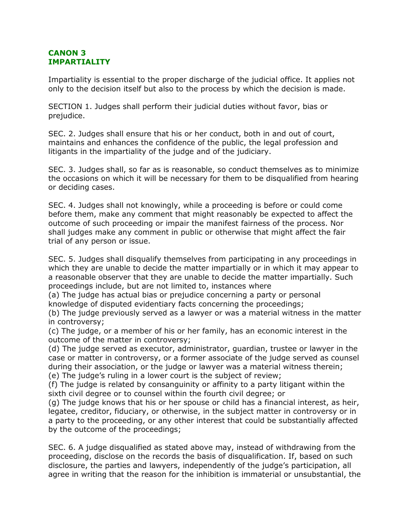## **CANON 3 IMPARTIALITY**

Impartiality is essential to the proper discharge of the judicial office. It applies not only to the decision itself but also to the process by which the decision is made.

SECTION 1. Judges shall perform their judicial duties without favor, bias or prejudice.

SEC. 2. Judges shall ensure that his or her conduct, both in and out of court, maintains and enhances the confidence of the public, the legal profession and litigants in the impartiality of the judge and of the judiciary.

SEC. 3. Judges shall, so far as is reasonable, so conduct themselves as to minimize the occasions on which it will be necessary for them to be disqualified from hearing or deciding cases.

SEC. 4. Judges shall not knowingly, while a proceeding is before or could come before them, make any comment that might reasonably be expected to affect the outcome of such proceeding or impair the manifest fairness of the process. Nor shall judges make any comment in public or otherwise that might affect the fair trial of any person or issue.

SEC. 5. Judges shall disqualify themselves from participating in any proceedings in which they are unable to decide the matter impartially or in which it may appear to a reasonable observer that they are unable to decide the matter impartially. Such proceedings include, but are not limited to, instances where

(a) The judge has actual bias or prejudice concerning a party or personal knowledge of disputed evidentiary facts concerning the proceedings;

(b) The judge previously served as a lawyer or was a material witness in the matter in controversy;

(c) The judge, or a member of his or her family, has an economic interest in the outcome of the matter in controversy;

(d) The judge served as executor, administrator, guardian, trustee or lawyer in the case or matter in controversy, or a former associate of the judge served as counsel during their association, or the judge or lawyer was a material witness therein; (e) The judge's ruling in a lower court is the subject of review;

(f) The judge is related by consanguinity or affinity to a party litigant within the sixth civil degree or to counsel within the fourth civil degree; or

(g) The judge knows that his or her spouse or child has a financial interest, as heir, legatee, creditor, fiduciary, or otherwise, in the subject matter in controversy or in a party to the proceeding, or any other interest that could be substantially affected by the outcome of the proceedings;

SEC. 6. A judge disqualified as stated above may, instead of withdrawing from the proceeding, disclose on the records the basis of disqualification. If, based on such disclosure, the parties and lawyers, independently of the judge's participation, all agree in writing that the reason for the inhibition is immaterial or unsubstantial, the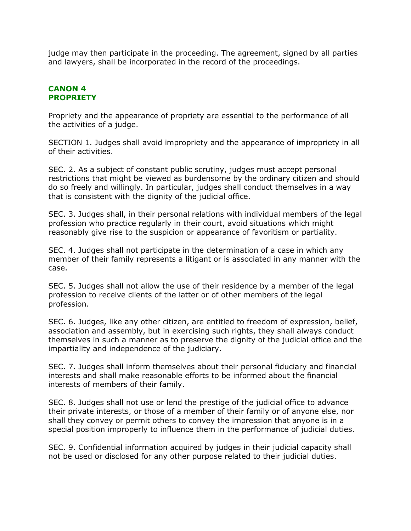judge may then participate in the proceeding. The agreement, signed by all parties and lawyers, shall be incorporated in the record of the proceedings.

## **CANON 4 PROPRIETY**

Propriety and the appearance of propriety are essential to the performance of all the activities of a judge.

SECTION 1. Judges shall avoid impropriety and the appearance of impropriety in all of their activities.

SEC. 2. As a subject of constant public scrutiny, judges must accept personal restrictions that might be viewed as burdensome by the ordinary citizen and should do so freely and willingly. In particular, judges shall conduct themselves in a way that is consistent with the dignity of the judicial office.

SEC. 3. Judges shall, in their personal relations with individual members of the legal profession who practice regularly in their court, avoid situations which might reasonably give rise to the suspicion or appearance of favoritism or partiality.

SEC. 4. Judges shall not participate in the determination of a case in which any member of their family represents a litigant or is associated in any manner with the case.

SEC. 5. Judges shall not allow the use of their residence by a member of the legal profession to receive clients of the latter or of other members of the legal profession.

SEC. 6. Judges, like any other citizen, are entitled to freedom of expression, belief, association and assembly, but in exercising such rights, they shall always conduct themselves in such a manner as to preserve the dignity of the judicial office and the impartiality and independence of the judiciary.

SEC. 7. Judges shall inform themselves about their personal fiduciary and financial interests and shall make reasonable efforts to be informed about the financial interests of members of their family.

SEC. 8. Judges shall not use or lend the prestige of the judicial office to advance their private interests, or those of a member of their family or of anyone else, nor shall they convey or permit others to convey the impression that anyone is in a special position improperly to influence them in the performance of judicial duties.

SEC. 9. Confidential information acquired by judges in their judicial capacity shall not be used or disclosed for any other purpose related to their judicial duties.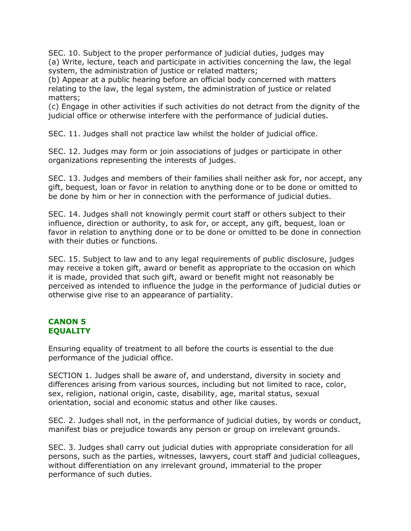SEC. 10. Subject to the proper performance of judicial duties, judges may (a) Write, lecture, teach and participate in activities concerning the law, the legal system, the administration of justice or related matters;

(b) Appear at a public hearing before an official body concerned with matters relating to the law, the legal system, the administration of justice or related matters;

(c) Engage in other activities if such activities do not detract from the dignity of the judicial office or otherwise interfere with the performance of judicial duties.

SEC. 11. Judges shall not practice law whilst the holder of judicial office.

SEC. 12. Judges may form or join associations of judges or participate in other organizations representing the interests of judges.

SEC. 13. Judges and members of their families shall neither ask for, nor accept, any gift, bequest, loan or favor in relation to anything done or to be done or omitted to be done by him or her in connection with the performance of judicial duties.

SEC. 14. Judges shall not knowingly permit court staff or others subject to their influence, direction or authority, to ask for, or accept, any gift, bequest, loan or favor in relation to anything done or to be done or omitted to be done in connection with their duties or functions.

SEC. 15. Subject to law and to any legal requirements of public disclosure, judges may receive a token gift, award or benefit as appropriate to the occasion on which it is made, provided that such gift, award or benefit might not reasonably be perceived as intended to influence the judge in the performance of judicial duties or otherwise give rise to an appearance of partiality.

## **CANON 5 EQUALITY**

Ensuring equality of treatment to all before the courts is essential to the due performance of the judicial office.

SECTION 1. Judges shall be aware of, and understand, diversity in society and differences arising from various sources, including but not limited to race, color, sex, religion, national origin, caste, disability, age, marital status, sexual orientation, social and economic status and other like causes.

SEC. 2. Judges shall not, in the performance of judicial duties, by words or conduct, manifest bias or prejudice towards any person or group on irrelevant grounds.

SEC. 3. Judges shall carry out judicial duties with appropriate consideration for all persons, such as the parties, witnesses, lawyers, court staff and judicial colleagues, without differentiation on any irrelevant ground, immaterial to the proper performance of such duties.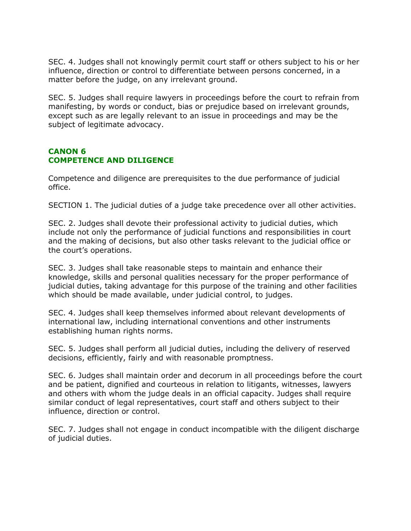SEC. 4. Judges shall not knowingly permit court staff or others subject to his or her influence, direction or control to differentiate between persons concerned, in a matter before the judge, on any irrelevant ground.

SEC. 5. Judges shall require lawyers in proceedings before the court to refrain from manifesting, by words or conduct, bias or prejudice based on irrelevant grounds, except such as are legally relevant to an issue in proceedings and may be the subject of legitimate advocacy.

## **CANON 6 COMPETENCE AND DILIGENCE**

Competence and diligence are prerequisites to the due performance of judicial office.

SECTION 1. The judicial duties of a judge take precedence over all other activities.

SEC. 2. Judges shall devote their professional activity to judicial duties, which include not only the performance of judicial functions and responsibilities in court and the making of decisions, but also other tasks relevant to the judicial office or the court's operations.

SEC. 3. Judges shall take reasonable steps to maintain and enhance their knowledge, skills and personal qualities necessary for the proper performance of judicial duties, taking advantage for this purpose of the training and other facilities which should be made available, under judicial control, to judges.

SEC. 4. Judges shall keep themselves informed about relevant developments of international law, including international conventions and other instruments establishing human rights norms.

SEC. 5. Judges shall perform all judicial duties, including the delivery of reserved decisions, efficiently, fairly and with reasonable promptness.

SEC. 6. Judges shall maintain order and decorum in all proceedings before the court and be patient, dignified and courteous in relation to litigants, witnesses, lawyers and others with whom the judge deals in an official capacity. Judges shall require similar conduct of legal representatives, court staff and others subject to their influence, direction or control.

SEC. 7. Judges shall not engage in conduct incompatible with the diligent discharge of judicial duties.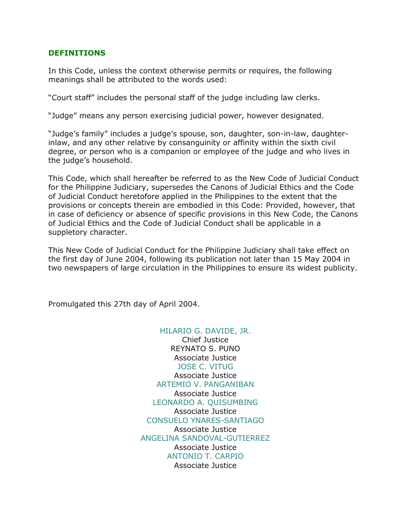### **DEFINITIONS**

In this Code, unless the context otherwise permits or requires, the following meanings shall be attributed to the words used:

"Court staff" includes the personal staff of the judge including law clerks.

"Judge" means any person exercising judicial power, however designated.

"Judge's family" includes a judge's spouse, son, daughter, son-in-law, daughterinlaw, and any other relative by consanguinity or affinity within the sixth civil degree, or person who is a companion or employee of the judge and who lives in the judge's household.

This Code, which shall hereafter be referred to as the New Code of Judicial Conduct for the Philippine Judiciary, supersedes the Canons of Judicial Ethics and the Code of Judicial Conduct heretofore applied in the Philippines to the extent that the provisions or concepts therein are embodied in this Code: Provided, however, that in case of deficiency or absence of specific provisions in this New Code, the Canons of Judicial Ethics and the Code of Judicial Conduct shall be applicable in a suppletory character.

This New Code of Judicial Conduct for the Philippine Judiciary shall take effect on the first day of June 2004, following its publication not later than 15 May 2004 in two newspapers of large circulation in the Philippines to ensure its widest publicity.

Promulgated this 27th day of April 2004.

#### [HILARIO G. DAVIDE, JR.](http://en.wikipilipinas.org/index.php?title=Hilario_Davide%2C_Jr.)

Chief Justice REYNATO S. PUNO Associate Justice [JOSE C. VITUG](http://en.wikipilipinas.org/index.php?title=Jose_C._Vitug) Associate Justice [ARTEMIO V. PANGANIBAN](http://en.wikipilipinas.org/index.php?title=Artemio_Panganiban) Associate Justice [LEONARDO A. QUISUMBING](http://en.wikipilipinas.org/index.php?title=Leonardo_Quisumbing) Associate Justice [CONSUELO YNARES-SANTIAGO](http://en.wikipilipinas.org/index.php?title=Consuelo_Ynares-Santiago) Associate Justice [ANGELINA SANDOVAL-GUTIERREZ](http://en.wikipilipinas.org/index.php?title=Angelina_Sandoval-Gutierrez) Associate Justice [ANTONIO T. CARPIO](http://en.wikipilipinas.org/index.php?title=Antonio_Carpio) Associate Justice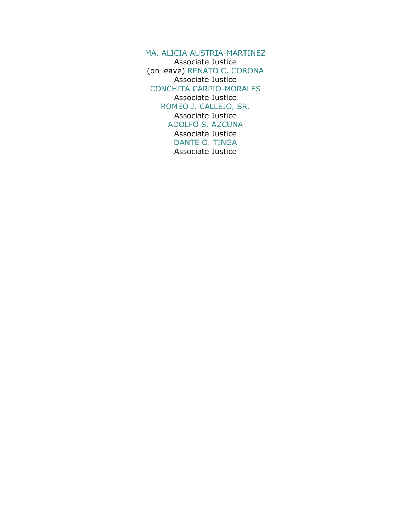[MA. ALICIA AUSTRIA-MARTINEZ](http://en.wikipilipinas.org/index.php?title=Ma._Alicia_Austria-Martinez) Associate Justice (on leave) [RENATO C. CORONA](http://en.wikipilipinas.org/index.php?title=Renato_Corona) Associate Justice [CONCHITA CARPIO-MORALES](http://en.wikipilipinas.org/index.php?title=Conchita_Carpio-Morales) Associate Justice [ROMEO J. CALLEJO, SR.](http://en.wikipilipinas.org/index.php?title=Romeo_Callejo%2C_Sr.) Associate Justice [ADOLFO S. AZCUNA](http://en.wikipilipinas.org/index.php?title=Adolfo_Azcuna) Associate Justice [DANTE O. TINGA](http://en.wikipilipinas.org/index.php?title=Dante_Tinga) Associate Justice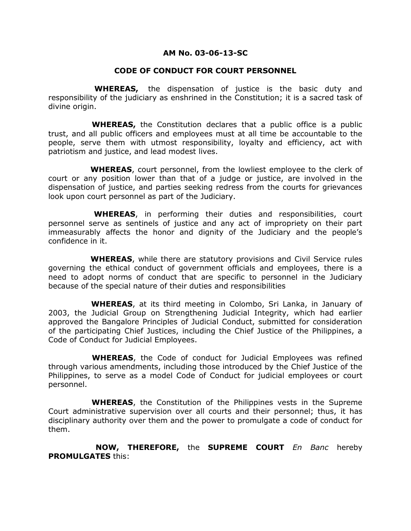### **AM No. 03-06-13-SC**

### **CODE OF CONDUCT FOR COURT PERSONNEL**

 **WHEREAS,** the dispensation of justice is the basic duty and responsibility of the judiciary as enshrined in the Constitution; it is a sacred task of divine origin.

 **WHEREAS,** the Constitution declares that a public office is a public trust, and all public officers and employees must at all time be accountable to the people, serve them with utmost responsibility, loyalty and efficiency, act with patriotism and justice, and lead modest lives.

 **WHEREAS**, court personnel, from the lowliest employee to the clerk of court or any position lower than that of a judge or justice, are involved in the dispensation of justice, and parties seeking redress from the courts for grievances look upon court personnel as part of the Judiciary.

 **WHEREAS**, in performing their duties and responsibilities, court personnel serve as sentinels of justice and any act of impropriety on their part immeasurably affects the honor and dignity of the Judiciary and the people's confidence in it.

 **WHEREAS**, while there are statutory provisions and Civil Service rules governing the ethical conduct of government officials and employees, there is a need to adopt norms of conduct that are specific to personnel in the Judiciary because of the special nature of their duties and responsibilities

 **WHEREAS**, at its third meeting in Colombo, Sri Lanka, in January of 2003, the Judicial Group on Strengthening Judicial Integrity, which had earlier approved the Bangalore Principles of Judicial Conduct, submitted for consideration of the participating Chief Justices, including the Chief Justice of the Philippines, a Code of Conduct for Judicial Employees.

 **WHEREAS**, the Code of conduct for Judicial Employees was refined through various amendments, including those introduced by the Chief Justice of the Philippines, to serve as a model Code of Conduct for judicial employees or court personnel.

 **WHEREAS**, the Constitution of the Philippines vests in the Supreme Court administrative supervision over all courts and their personnel; thus, it has disciplinary authority over them and the power to promulgate a code of conduct for them.

 **NOW, THEREFORE,** the **SUPREME COURT** *En Banc* hereby **PROMULGATES** this: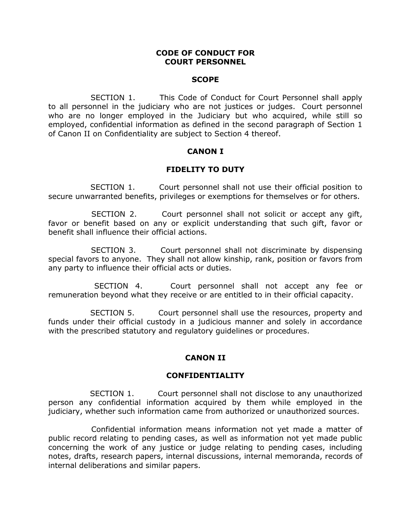#### **CODE OF CONDUCT FOR COURT PERSONNEL**

#### **SCOPE**

 SECTION 1. This Code of Conduct for Court Personnel shall apply to all personnel in the judiciary who are not justices or judges. Court personnel who are no longer employed in the Judiciary but who acquired, while still so employed, confidential information as defined in the second paragraph of Section 1 of Canon II on Confidentiality are subject to Section 4 thereof.

#### **CANON I**

### **FIDELITY TO DUTY**

 SECTION 1. Court personnel shall not use their official position to secure unwarranted benefits, privileges or exemptions for themselves or for others.

 SECTION 2. Court personnel shall not solicit or accept any gift, favor or benefit based on any or explicit understanding that such gift, favor or benefit shall influence their official actions.

 SECTION 3. Court personnel shall not discriminate by dispensing special favors to anyone. They shall not allow kinship, rank, position or favors from any party to influence their official acts or duties.

 SECTION 4. Court personnel shall not accept any fee or remuneration beyond what they receive or are entitled to in their official capacity.

 SECTION 5. Court personnel shall use the resources, property and funds under their official custody in a judicious manner and solely in accordance with the prescribed statutory and regulatory guidelines or procedures.

#### **CANON II**

#### **CONFIDENTIALITY**

 SECTION 1. Court personnel shall not disclose to any unauthorized person any confidential information acquired by them while employed in the judiciary, whether such information came from authorized or unauthorized sources.

 Confidential information means information not yet made a matter of public record relating to pending cases, as well as information not yet made public concerning the work of any justice or judge relating to pending cases, including notes, drafts, research papers, internal discussions, internal memoranda, records of internal deliberations and similar papers.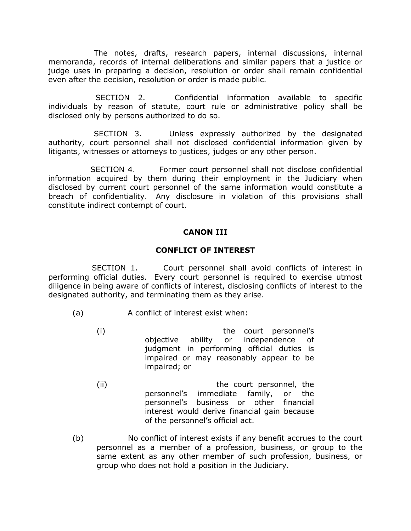The notes, drafts, research papers, internal discussions, internal memoranda, records of internal deliberations and similar papers that a justice or judge uses in preparing a decision, resolution or order shall remain confidential even after the decision, resolution or order is made public.

 SECTION 2. Confidential information available to specific individuals by reason of statute, court rule or administrative policy shall be disclosed only by persons authorized to do so.

 SECTION 3. Unless expressly authorized by the designated authority, court personnel shall not disclosed confidential information given by litigants, witnesses or attorneys to justices, judges or any other person.

 SECTION 4. Former court personnel shall not disclose confidential information acquired by them during their employment in the Judiciary when disclosed by current court personnel of the same information would constitute a breach of confidentiality. Any disclosure in violation of this provisions shall constitute indirect contempt of court.

## **CANON III**

#### **CONFLICT OF INTEREST**

 SECTION 1. Court personnel shall avoid conflicts of interest in performing official duties. Every court personnel is required to exercise utmost diligence in being aware of conflicts of interest, disclosing conflicts of interest to the designated authority, and terminating them as they arise.

- (a) A conflict of interest exist when:
	- (i) the court personnel's objective ability or independence of judgment in performing official duties is impaired or may reasonably appear to be impaired; or
	- (ii) the court personnel, the personnel's immediate family, or the personnel's business or other financial interest would derive financial gain because of the personnel's official act.
- (b) No conflict of interest exists if any benefit accrues to the court personnel as a member of a profession, business, or group to the same extent as any other member of such profession, business, or group who does not hold a position in the Judiciary.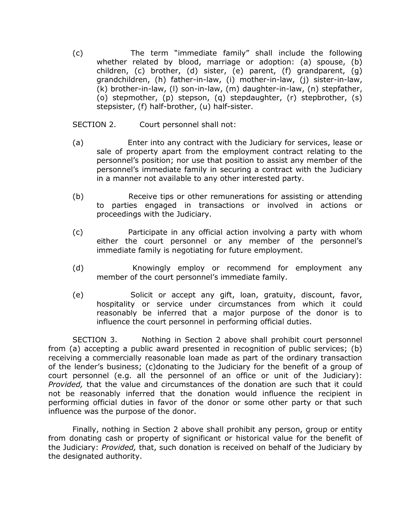(c) The term "immediate family" shall include the following whether related by blood, marriage or adoption: (a) spouse, (b) children, (c) brother, (d) sister, (e) parent, (f) grandparent, (g) grandchildren, (h) father-in-law, (i) mother-in-law, (j) sister-in-law, (k) brother-in-law, (l) son-in-law, (m) daughter-in-law, (n) stepfather, (o) stepmother, (p) stepson, (q) stepdaughter, (r) stepbrother, (s) stepsister, (f) half-brother, (u) half-sister.

### SECTION 2. Court personnel shall not:

- (a) Enter into any contract with the Judiciary for services, lease or sale of property apart from the employment contract relating to the personnel's position; nor use that position to assist any member of the personnel's immediate family in securing a contract with the Judiciary in a manner not available to any other interested party.
- (b) Receive tips or other remunerations for assisting or attending to parties engaged in transactions or involved in actions or proceedings with the Judiciary.
- (c) Participate in any official action involving a party with whom either the court personnel or any member of the personnel's immediate family is negotiating for future employment.
- (d) Knowingly employ or recommend for employment any member of the court personnel's immediate family.
- (e) Solicit or accept any gift, loan, gratuity, discount, favor, hospitality or service under circumstances from which it could reasonably be inferred that a major purpose of the donor is to influence the court personnel in performing official duties.

SECTION 3. Nothing in Section 2 above shall prohibit court personnel from (a) accepting a public award presented in recognition of public services; (b) receiving a commercially reasonable loan made as part of the ordinary transaction of the lender's business; (c)donating to the Judiciary for the benefit of a group of court personnel (e.g. all the personnel of an office or unit of the Judiciary): *Provided,* that the value and circumstances of the donation are such that it could not be reasonably inferred that the donation would influence the recipient in performing official duties in favor of the donor or some other party or that such influence was the purpose of the donor.

Finally, nothing in Section 2 above shall prohibit any person, group or entity from donating cash or property of significant or historical value for the benefit of the Judiciary: *Provided,* that, such donation is received on behalf of the Judiciary by the designated authority.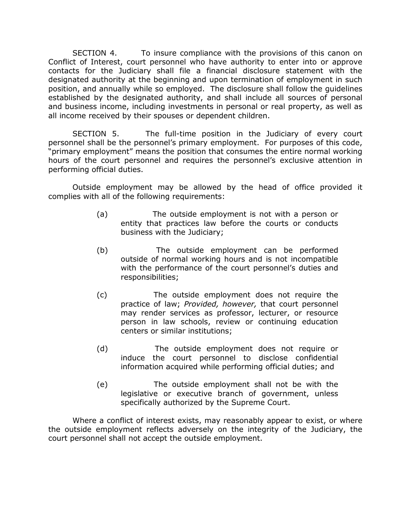SECTION 4. To insure compliance with the provisions of this canon on Conflict of Interest, court personnel who have authority to enter into or approve contacts for the Judiciary shall file a financial disclosure statement with the designated authority at the beginning and upon termination of employment in such position, and annually while so employed. The disclosure shall follow the guidelines established by the designated authority, and shall include all sources of personal and business income, including investments in personal or real property, as well as all income received by their spouses or dependent children.

SECTION 5. The full-time position in the Judiciary of every court personnel shall be the personnel's primary employment. For purposes of this code, "primary employment" means the position that consumes the entire normal working hours of the court personnel and requires the personnel's exclusive attention in performing official duties.

Outside employment may be allowed by the head of office provided it complies with all of the following requirements:

- (a) The outside employment is not with a person or entity that practices law before the courts or conducts business with the Judiciary;
- (b) The outside employment can be performed outside of normal working hours and is not incompatible with the performance of the court personnel's duties and responsibilities;
- (c) The outside employment does not require the practice of law; *Provided, however,* that court personnel may render services as professor, lecturer, or resource person in law schools, review or continuing education centers or similar institutions;
- (d) The outside employment does not require or induce the court personnel to disclose confidential information acquired while performing official duties; and
- (e) The outside employment shall not be with the legislative or executive branch of government, unless specifically authorized by the Supreme Court.

Where a conflict of interest exists, may reasonably appear to exist, or where the outside employment reflects adversely on the integrity of the Judiciary, the court personnel shall not accept the outside employment.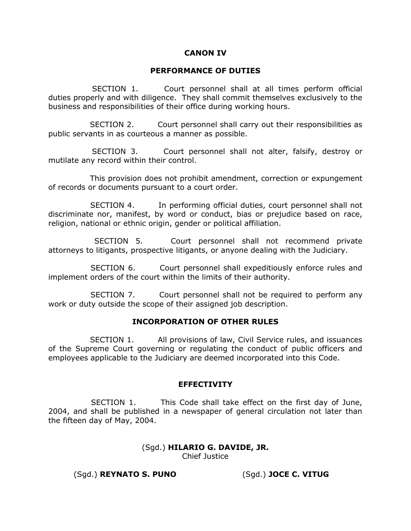#### **CANON IV**

#### **PERFORMANCE OF DUTIES**

 SECTION 1. Court personnel shall at all times perform official duties properly and with diligence. They shall commit themselves exclusively to the business and responsibilities of their office during working hours.

 SECTION 2. Court personnel shall carry out their responsibilities as public servants in as courteous a manner as possible.

 SECTION 3. Court personnel shall not alter, falsify, destroy or mutilate any record within their control.

 This provision does not prohibit amendment, correction or expungement of records or documents pursuant to a court order.

 SECTION 4. In performing official duties, court personnel shall not discriminate nor, manifest, by word or conduct, bias or prejudice based on race, religion, national or ethnic origin, gender or political affiliation.

 SECTION 5. Court personnel shall not recommend private attorneys to litigants, prospective litigants, or anyone dealing with the Judiciary.

 SECTION 6. Court personnel shall expeditiously enforce rules and implement orders of the court within the limits of their authority.

 SECTION 7. Court personnel shall not be required to perform any work or duty outside the scope of their assigned job description.

#### **INCORPORATION OF OTHER RULES**

 SECTION 1. All provisions of law, Civil Service rules, and issuances of the Supreme Court governing or regulating the conduct of public officers and employees applicable to the Judiciary are deemed incorporated into this Code.

#### **EFFECTIVITY**

 SECTION 1. This Code shall take effect on the first day of June, 2004, and shall be published in a newspaper of general circulation not later than the fifteen day of May, 2004.

> (Sgd.) **HILARIO G. DAVIDE, JR.** Chief Justice

(Sgd.) **REYNATO S. PUNO** (Sgd.) **JOCE C. VITUG**